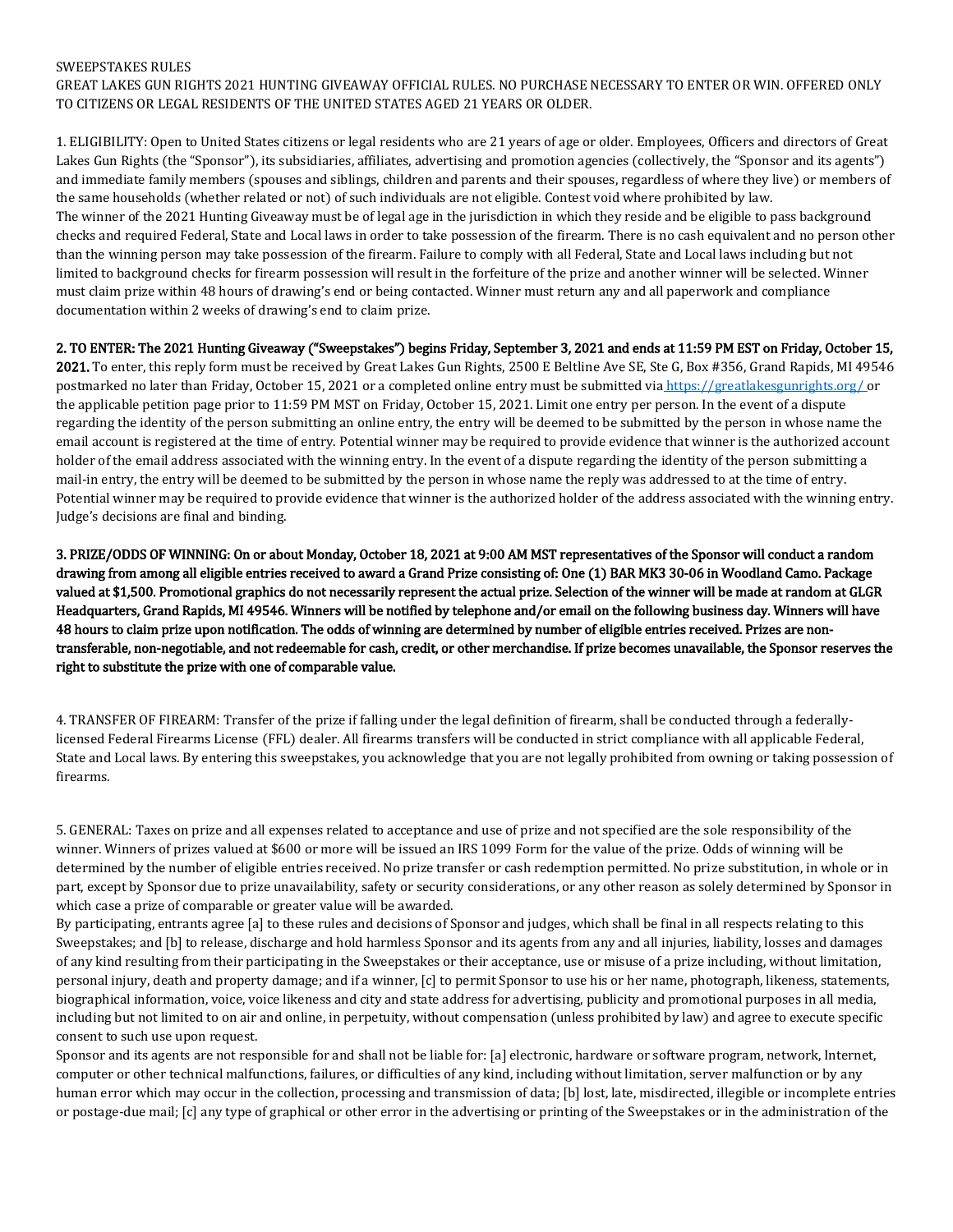## SWEEPSTAKES RULES

GREAT LAKES GUN RIGHTS 2021 HUNTING GIVEAWAY OFFICIAL RULES. NO PURCHASE NECESSARY TO ENTER OR WIN. OFFERED ONLY TO CITIZENS OR LEGAL RESIDENTS OF THE UNITED STATES AGED 21 YEARS OR OLDER.

1. ELIGIBILITY: Open to United States citizens or legal residents who are 21 years of age or older. Employees, Officers and directors of Great Lakes Gun Rights (the "Sponsor"), its subsidiaries, affiliates, advertising and promotion agencies (collectively, the "Sponsor and its agents") and immediate family members (spouses and siblings, children and parents and their spouses, regardless of where they live) or members of the same households (whether related or not) of such individuals are not eligible. Contest void where prohibited by law. The winner of the 2021 Hunting Giveaway must be of legal age in the jurisdiction in which they reside and be eligible to pass background checks and required Federal, State and Local laws in order to take possession of the firearm. There is no cash equivalent and no person other than the winning person may take possession of the firearm. Failure to comply with all Federal, State and Local laws including but not limited to background checks for firearm possession will result in the forfeiture of the prize and another winner will be selected. Winner must claim prize within 48 hours of drawing's end or being contacted. Winner must return any and all paperwork and compliance documentation within 2 weeks of drawing's end to claim prize.

## 2. TO ENTER: The 2021 Hunting Giveaway ("Sweepstakes") begins Friday, September 3, 2021 and ends at 11:59 PM EST on Friday, October 15,

2021. To enter, this reply form must be received by Great Lakes Gun Rights, 2500 E Beltline Ave SE, Ste G, Box #356, Grand Rapids, MI 49546 postmarked no later than Friday, October 15, 2021 or a completed online entry must be submitted via <https://greatlakesgunrights.org/> or the applicable petition page prior to 11:59 PM MST on Friday, October 15, 2021. Limit one entry per person. In the event of a dispute regarding the identity of the person submitting an online entry, the entry will be deemed to be submitted by the person in whose name the email account is registered at the time of entry. Potential winner may be required to provide evidence that winner is the authorized account holder of the email address associated with the winning entry. In the event of a dispute regarding the identity of the person submitting a mail-in entry, the entry will be deemed to be submitted by the person in whose name the reply was addressed to at the time of entry. Potential winner may be required to provide evidence that winner is the authorized holder of the address associated with the winning entry. Judge's decisions are final and binding.

3. PRIZE/ODDS OF WINNING: On or about Monday, October 18, 2021 at 9:00 AM MST representatives of the Sponsor will conduct a random drawing from among all eligible entries received to award a Grand Prize consisting of: One (1) BAR MK3 30-06 in Woodland Camo. Package valued at \$1,500. Promotional graphics do not necessarily represent the actual prize. Selection of the winner will be made at random at GLGR Headquarters, Grand Rapids, MI 49546. Winners will be notified by telephone and/or email on the following business day. Winners will have 48 hours to claim prize upon notification. The odds of winning are determined by number of eligible entries received. Prizes are nontransferable, non-negotiable, and not redeemable for cash, credit, or other merchandise. If prize becomes unavailable, the Sponsor reserves the right to substitute the prize with one of comparable value.

4. TRANSFER OF FIREARM: Transfer of the prize if falling under the legal definition of firearm, shall be conducted through a federallylicensed Federal Firearms License (FFL) dealer. All firearms transfers will be conducted in strict compliance with all applicable Federal, State and Local laws. By entering this sweepstakes, you acknowledge that you are not legally prohibited from owning or taking possession of firearms.

5. GENERAL: Taxes on prize and all expenses related to acceptance and use of prize and not specified are the sole responsibility of the winner. Winners of prizes valued at \$600 or more will be issued an IRS 1099 Form for the value of the prize. Odds of winning will be determined by the number of eligible entries received. No prize transfer or cash redemption permitted. No prize substitution, in whole or in part, except by Sponsor due to prize unavailability, safety or security considerations, or any other reason as solely determined by Sponsor in which case a prize of comparable or greater value will be awarded.

By participating, entrants agree [a] to these rules and decisions of Sponsor and judges, which shall be final in all respects relating to this Sweepstakes; and [b] to release, discharge and hold harmless Sponsor and its agents from any and all injuries, liability, losses and damages of any kind resulting from their participating in the Sweepstakes or their acceptance, use or misuse of a prize including, without limitation, personal injury, death and property damage; and if a winner, [c] to permit Sponsor to use his or her name, photograph, likeness, statements, biographical information, voice, voice likeness and city and state address for advertising, publicity and promotional purposes in all media, including but not limited to on air and online, in perpetuity, without compensation (unless prohibited by law) and agree to execute specific consent to such use upon request.

Sponsor and its agents are not responsible for and shall not be liable for: [a] electronic, hardware or software program, network, Internet, computer or other technical malfunctions, failures, or difficulties of any kind, including without limitation, server malfunction or by any human error which may occur in the collection, processing and transmission of data; [b] lost, late, misdirected, illegible or incomplete entries or postage-due mail; [c] any type of graphical or other error in the advertising or printing of the Sweepstakes or in the administration of the